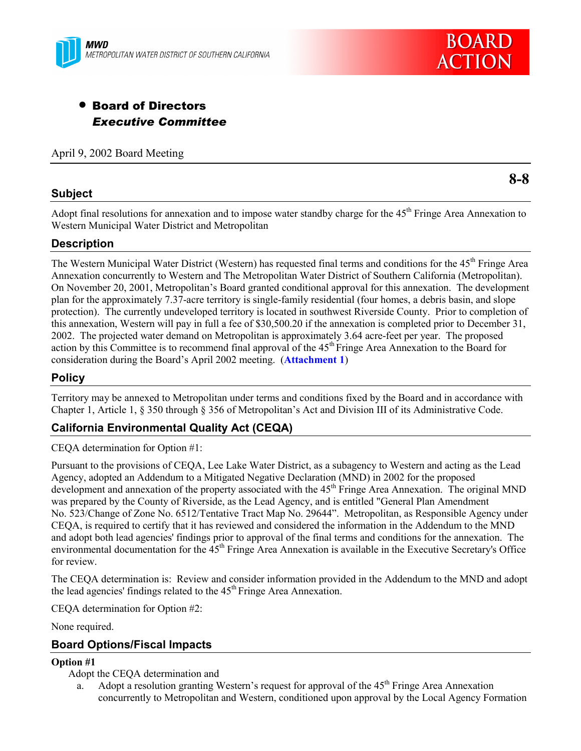



# • Board of Directors *Executive Committee*

April 9, 2002 Board Meeting

## **Subject**

**8-8**

Adopt final resolutions for annexation and to impose water standby charge for the 45<sup>th</sup> Fringe Area Annexation to Western Municipal Water District and Metropolitan

## **Description**

The Western Municipal Water District (Western) has requested final terms and conditions for the 45<sup>th</sup> Fringe Area Annexation concurrently to Western and The Metropolitan Water District of Southern California (Metropolitan). On November 20, 2001, Metropolitan's Board granted conditional approval for this annexation. The development plan for the approximately 7.37-acre territory is single-family residential (four homes, a debris basin, and slope protection). The currently undeveloped territory is located in southwest Riverside County. Prior to completion of this annexation, Western will pay in full a fee of \$30,500.20 if the annexation is completed prior to December 31, 2002. The projected water demand on Metropolitan is approximately 3.64 acre-feet per year. The proposed action by this Committee is to recommend final approval of the 45<sup>th</sup> Fringe Area Annexation to the Board for consideration during the Board's April 2002 meeting. (**Attachment 1**)

## **Policy**

Territory may be annexed to Metropolitan under terms and conditions fixed by the Board and in accordance with Chapter 1, Article 1, § 350 through § 356 of Metropolitan's Act and Division III of its Administrative Code.

## **California Environmental Quality Act (CEQA)**

CEQA determination for Option #1:

Pursuant to the provisions of CEQA, Lee Lake Water District, as a subagency to Western and acting as the Lead Agency, adopted an Addendum to a Mitigated Negative Declaration (MND) in 2002 for the proposed development and annexation of the property associated with the 45<sup>th</sup> Fringe Area Annexation. The original MND was prepared by the County of Riverside, as the Lead Agency, and is entitled "General Plan Amendment No. 523/Change of Zone No. 6512/Tentative Tract Map No. 29644". Metropolitan, as Responsible Agency under CEQA, is required to certify that it has reviewed and considered the information in the Addendum to the MND and adopt both lead agencies' findings prior to approval of the final terms and conditions for the annexation. The environmental documentation for the 45<sup>th</sup> Fringe Area Annexation is available in the Executive Secretary's Office for review.

The CEQA determination is: Review and consider information provided in the Addendum to the MND and adopt the lead agencies' findings related to the 45<sup>th</sup> Fringe Area Annexation.

CEQA determination for Option #2:

None required.

## **Board Options/Fiscal Impacts**

## **Option #1**

Adopt the CEQA determination and

a. Adopt a resolution granting Western's request for approval of the  $45<sup>th</sup>$  Fringe Area Annexation concurrently to Metropolitan and Western, conditioned upon approval by the Local Agency Formation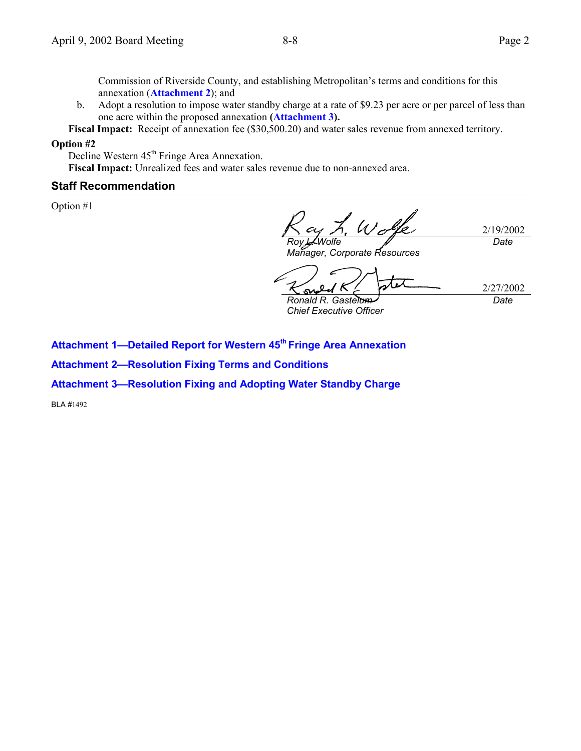Commission of Riverside County, and establishing Metropolitan's terms and conditions for this annexation (**Attachment 2**); and

b. Adopt a resolution to impose water standby charge at a rate of \$9.23 per acre or per parcel of less than one acre within the proposed annexation **(Attachment 3).**

**Fiscal Impact:** Receipt of annexation fee (\$30,500.20) and water sales revenue from annexed territory.

### **Option #2**

Decline Western 45<sup>th</sup> Fringe Area Annexation.

**Fiscal Impact:** Unrealized fees and water sales revenue due to non-annexed area.

## **Staff Recommendation**

Option #1

2/19/2002 *Roy L. Wolfe Manager, Corporate Resources Date*

su *Ronald R. Gastelum*

2/27/2002 *Date*

*Chief Executive Officer*

**Attachment 1—Detailed Report for Western 45th Fringe Area Annexation**

**Attachment 2—Resolution Fixing Terms and Conditions**

**Attachment 3—Resolution Fixing and Adopting Water Standby Charge**

BLA #1492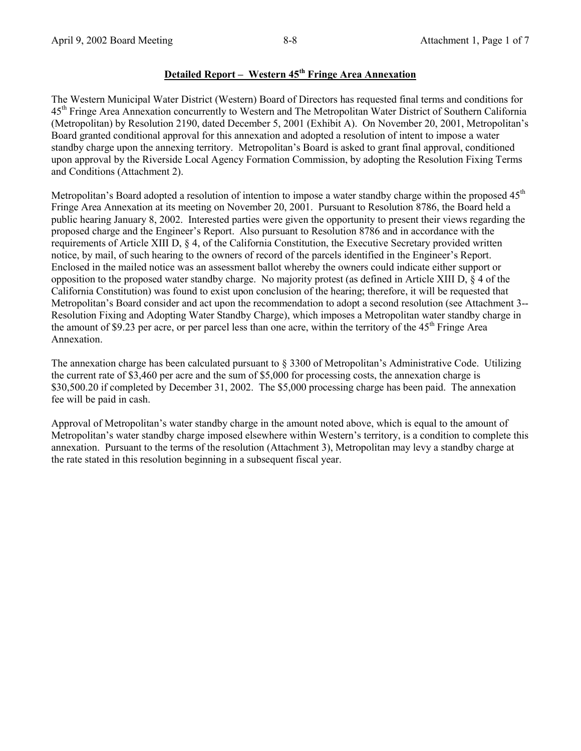## **Detailed Report – Western 45th Fringe Area Annexation**

The Western Municipal Water District (Western) Board of Directors has requested final terms and conditions for 45<sup>th</sup> Fringe Area Annexation concurrently to Western and The Metropolitan Water District of Southern California (Metropolitan) by Resolution 2190, dated December 5, 2001 (Exhibit A). On November 20, 2001, Metropolitan's Board granted conditional approval for this annexation and adopted a resolution of intent to impose a water standby charge upon the annexing territory. Metropolitan's Board is asked to grant final approval, conditioned upon approval by the Riverside Local Agency Formation Commission, by adopting the Resolution Fixing Terms and Conditions (Attachment 2).

Metropolitan's Board adopted a resolution of intention to impose a water standby charge within the proposed  $45<sup>th</sup>$ Fringe Area Annexation at its meeting on November 20, 2001. Pursuant to Resolution 8786, the Board held a public hearing January 8, 2002. Interested parties were given the opportunity to present their views regarding the proposed charge and the Engineer's Report. Also pursuant to Resolution 8786 and in accordance with the requirements of Article XIII D, § 4, of the California Constitution, the Executive Secretary provided written notice, by mail, of such hearing to the owners of record of the parcels identified in the Engineer's Report. Enclosed in the mailed notice was an assessment ballot whereby the owners could indicate either support or opposition to the proposed water standby charge. No majority protest (as defined in Article XIII D, § 4 of the California Constitution) was found to exist upon conclusion of the hearing; therefore, it will be requested that Metropolitan's Board consider and act upon the recommendation to adopt a second resolution (see Attachment 3-- Resolution Fixing and Adopting Water Standby Charge), which imposes a Metropolitan water standby charge in the amount of \$9.23 per acre, or per parcel less than one acre, within the territory of the  $45<sup>th</sup>$  Fringe Area Annexation.

The annexation charge has been calculated pursuant to § 3300 of Metropolitan's Administrative Code. Utilizing the current rate of \$3,460 per acre and the sum of \$5,000 for processing costs, the annexation charge is \$30,500.20 if completed by December 31, 2002. The \$5,000 processing charge has been paid. The annexation fee will be paid in cash.

Approval of Metropolitan's water standby charge in the amount noted above, which is equal to the amount of Metropolitan's water standby charge imposed elsewhere within Western's territory, is a condition to complete this annexation. Pursuant to the terms of the resolution (Attachment 3), Metropolitan may levy a standby charge at the rate stated in this resolution beginning in a subsequent fiscal year.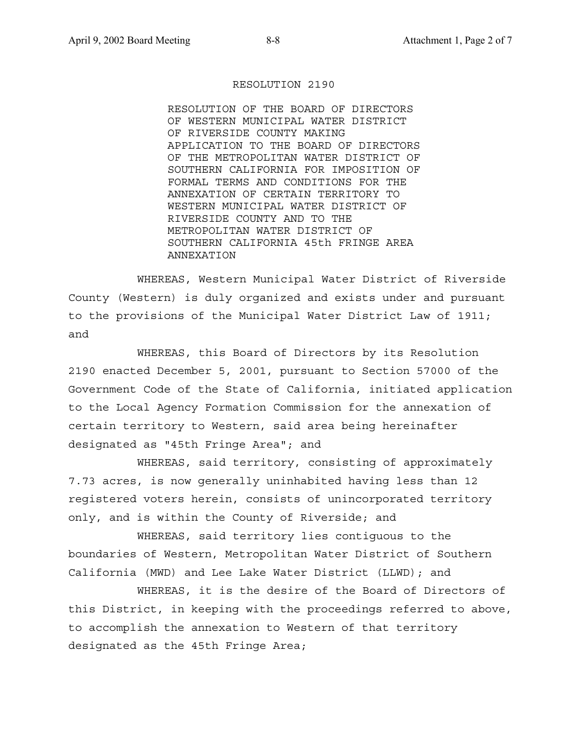#### RESOLUTION 2190

RESOLUTION OF THE BOARD OF DIRECTORS OF WESTERN MUNICIPAL WATER DISTRICT OF RIVERSIDE COUNTY MAKING APPLICATION TO THE BOARD OF DIRECTORS OF THE METROPOLITAN WATER DISTRICT OF SOUTHERN CALIFORNIA FOR IMPOSITION OF FORMAL TERMS AND CONDITIONS FOR THE ANNEXATION OF CERTAIN TERRITORY TO WESTERN MUNICIPAL WATER DISTRICT OF RIVERSIDE COUNTY AND TO THE METROPOLITAN WATER DISTRICT OF SOUTHERN CALIFORNIA 45th FRINGE AREA ANNEXATION

WHEREAS, Western Municipal Water District of Riverside County (Western) is duly organized and exists under and pursuant to the provisions of the Municipal Water District Law of 1911; and

WHEREAS, this Board of Directors by its Resolution 2190 enacted December 5, 2001, pursuant to Section 57000 of the Government Code of the State of California, initiated application to the Local Agency Formation Commission for the annexation of certain territory to Western, said area being hereinafter designated as "45th Fringe Area"; and

WHEREAS, said territory, consisting of approximately 7.73 acres, is now generally uninhabited having less than 12 registered voters herein, consists of unincorporated territory only, and is within the County of Riverside; and

WHEREAS, said territory lies contiguous to the boundaries of Western, Metropolitan Water District of Southern California (MWD) and Lee Lake Water District (LLWD); and

WHEREAS, it is the desire of the Board of Directors of this District, in keeping with the proceedings referred to above, to accomplish the annexation to Western of that territory designated as the 45th Fringe Area;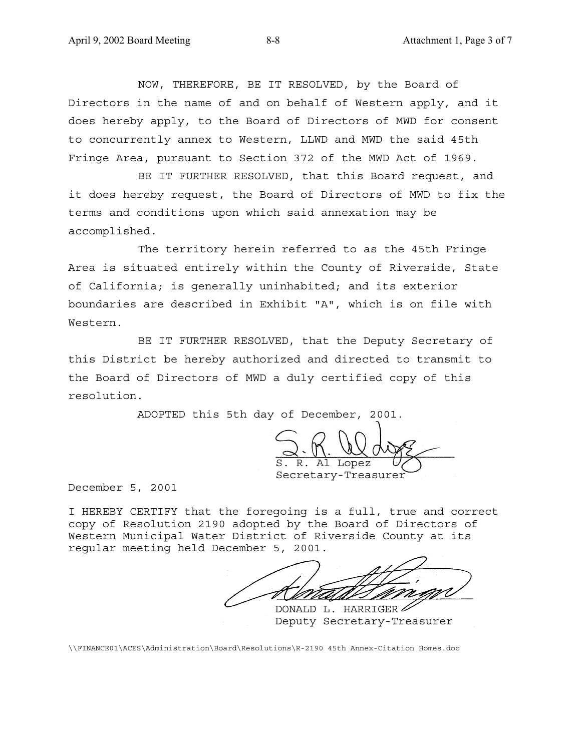NOW, THEREFORE, BE IT RESOLVED, by the Board of Directors in the name of and on behalf of Western apply, and it does hereby apply, to the Board of Directors of MWD for consent to concurrently annex to Western, LLWD and MWD the said 45th Fringe Area, pursuant to Section 372 of the MWD Act of 1969.

BE IT FURTHER RESOLVED, that this Board request, and it does hereby request, the Board of Directors of MWD to fix the terms and conditions upon which said annexation may be accomplished.

The territory herein referred to as the 45th Fringe Area is situated entirely within the County of Riverside, State of California; is generally uninhabited; and its exterior boundaries are described in Exhibit "A", which is on file with Western.

BE IT FURTHER RESOLVED, that the Deputy Secretary of this District be hereby authorized and directed to transmit to the Board of Directors of MWD a duly certified copy of this resolution.

ADOPTED this 5th day of December, 2001.

R. Al Lopez Secretary-Treasurer

December 5, 2001

I HEREBY CERTIFY that the foregoing is a full, true and correct copy of Resolution 2190 adopted by the Board of Directors of Western Municipal Water District of Riverside County at its regular meeting held December 5, 2001.

DONALD L. HARRIGER Deputy Secretary-Treasurer

\\FINANCE01\ACES\Administration\Board\Resolutions\R-2190 45th Annex-Citation Homes.doc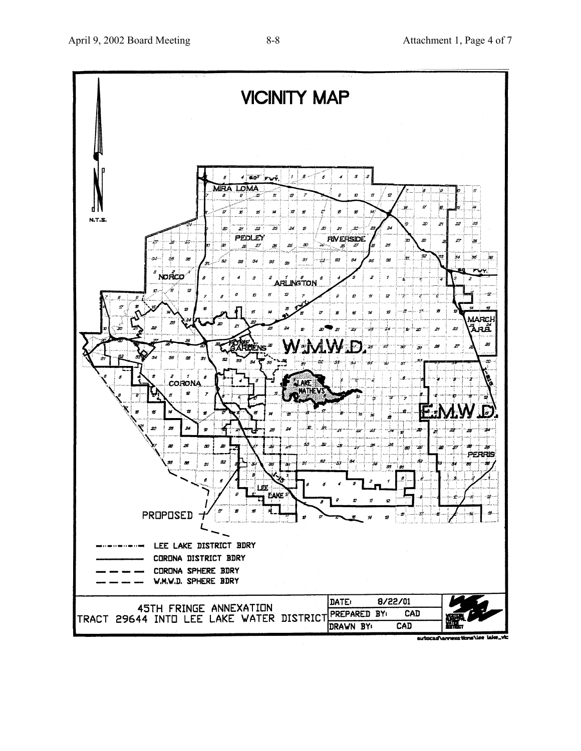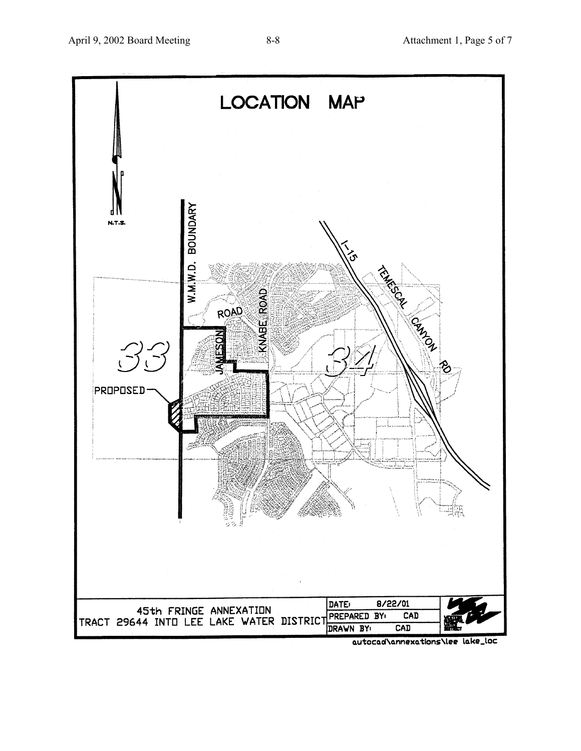

autocad\annexations\lee lake\_loc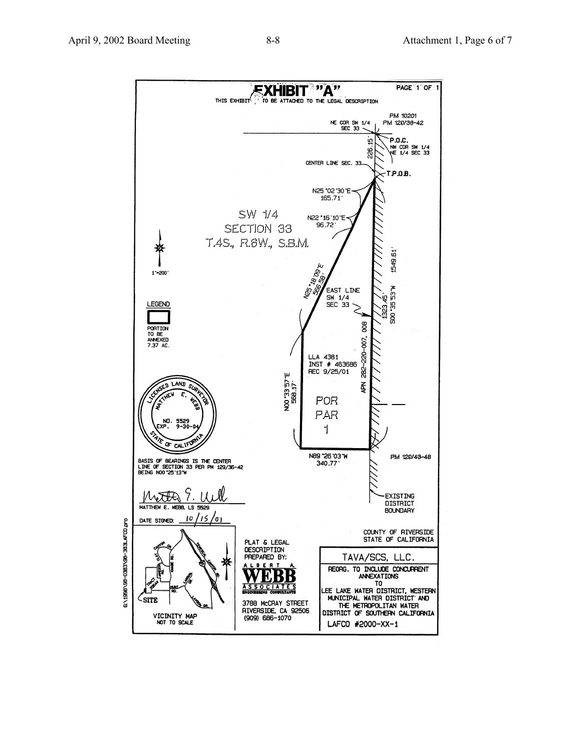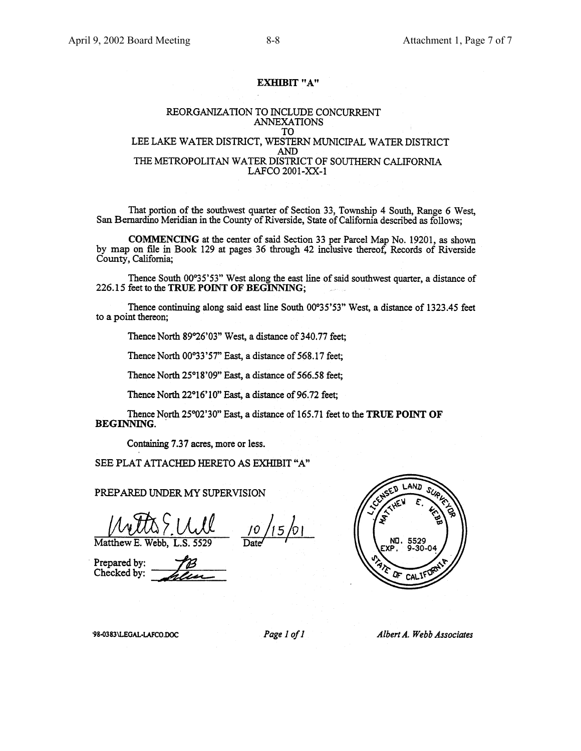#### **EXHIBIT "A"**

#### REORGANIZATION TO INCLUDE CONCURRENT **ANNEXATIONS** TO LEE LAKE WATER DISTRICT, WESTERN MUNICIPAL WATER DISTRICT AND THE METROPOLITAN WATER DISTRICT OF SOUTHERN CALIFORNIA LAFCO 2001-XX-1

That portion of the southwest quarter of Section 33, Township 4 South, Range 6 West, San Bernardino Meridian in the County of Riverside, State of California described as follows;

COMMENCING at the center of said Section 33 per Parcel Map No. 19201, as shown by map on file in Book 129 at pages 36 through 42 inclusive thereof, Records of Riverside County, California;

Thence South 00°35'53" West along the east line of said southwest quarter, a distance of 226.15 feet to the TRUE POINT OF BEGINNING;

Thence continuing along said east line South 00°35'53" West, a distance of 1323.45 feet to a point thereon;

Thence North 89°26'03" West, a distance of 340.77 feet;

Thence North 00°33'57" East, a distance of 568.17 feet;

Thence North 25°18'09" East, a distance of 566.58 feet;

Thence North 22°16'10" East, a distance of 96.72 feet;

Thence North 25°02'30" East, a distance of 165.71 feet to the TRUE POINT OF **BEGINNING.** 

Containing 7.37 acres, more or less.

SEE PLAT ATTACHED HERETO AS EXHIBIT "A"

PREPARED UNDER MY SUPERVISION

Matthew E. Webb.

Prepared by: Checked by:



'98-0383\LEGAL-LAFCO.DOC

Page 1 of 1

Albert A. Webb Associates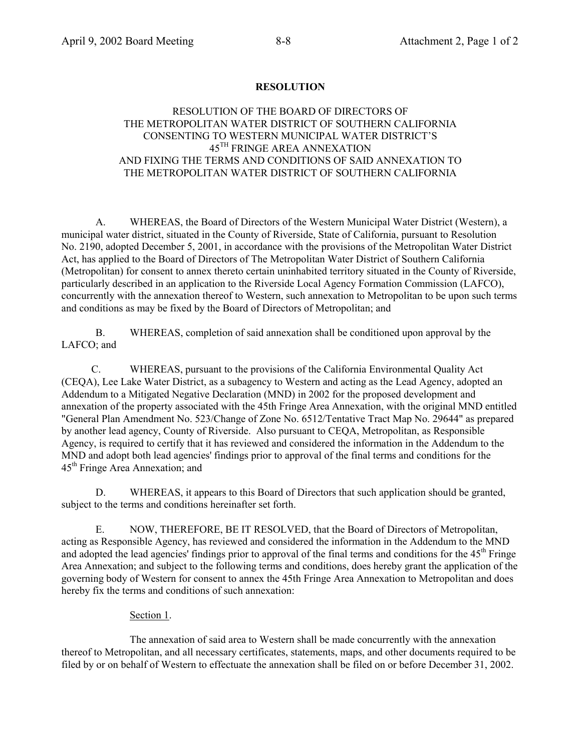## **RESOLUTION**

## RESOLUTION OF THE BOARD OF DIRECTORS OF THE METROPOLITAN WATER DISTRICT OF SOUTHERN CALIFORNIA CONSENTING TO WESTERN MUNICIPAL WATER DISTRICT'S 45TH FRINGE AREA ANNEXATION AND FIXING THE TERMS AND CONDITIONS OF SAID ANNEXATION TO THE METROPOLITAN WATER DISTRICT OF SOUTHERN CALIFORNIA

A. WHEREAS, the Board of Directors of the Western Municipal Water District (Western), a municipal water district, situated in the County of Riverside, State of California, pursuant to Resolution No. 2190, adopted December 5, 2001, in accordance with the provisions of the Metropolitan Water District Act, has applied to the Board of Directors of The Metropolitan Water District of Southern California (Metropolitan) for consent to annex thereto certain uninhabited territory situated in the County of Riverside, particularly described in an application to the Riverside Local Agency Formation Commission (LAFCO), concurrently with the annexation thereof to Western, such annexation to Metropolitan to be upon such terms and conditions as may be fixed by the Board of Directors of Metropolitan; and

B. WHEREAS, completion of said annexation shall be conditioned upon approval by the LAFCO; and

C. WHEREAS, pursuant to the provisions of the California Environmental Quality Act (CEQA), Lee Lake Water District, as a subagency to Western and acting as the Lead Agency, adopted an Addendum to a Mitigated Negative Declaration (MND) in 2002 for the proposed development and annexation of the property associated with the 45th Fringe Area Annexation, with the original MND entitled "General Plan Amendment No. 523/Change of Zone No. 6512/Tentative Tract Map No. 29644" as prepared by another lead agency, County of Riverside. Also pursuant to CEQA, Metropolitan, as Responsible Agency, is required to certify that it has reviewed and considered the information in the Addendum to the MND and adopt both lead agencies' findings prior to approval of the final terms and conditions for the 45<sup>th</sup> Fringe Area Annexation; and

D. WHEREAS, it appears to this Board of Directors that such application should be granted, subject to the terms and conditions hereinafter set forth.

E. NOW, THEREFORE, BE IT RESOLVED, that the Board of Directors of Metropolitan, acting as Responsible Agency, has reviewed and considered the information in the Addendum to the MND and adopted the lead agencies' findings prior to approval of the final terms and conditions for the 45<sup>th</sup> Fringe Area Annexation; and subject to the following terms and conditions, does hereby grant the application of the governing body of Western for consent to annex the 45th Fringe Area Annexation to Metropolitan and does hereby fix the terms and conditions of such annexation:

### Section 1.

The annexation of said area to Western shall be made concurrently with the annexation thereof to Metropolitan, and all necessary certificates, statements, maps, and other documents required to be filed by or on behalf of Western to effectuate the annexation shall be filed on or before December 31, 2002.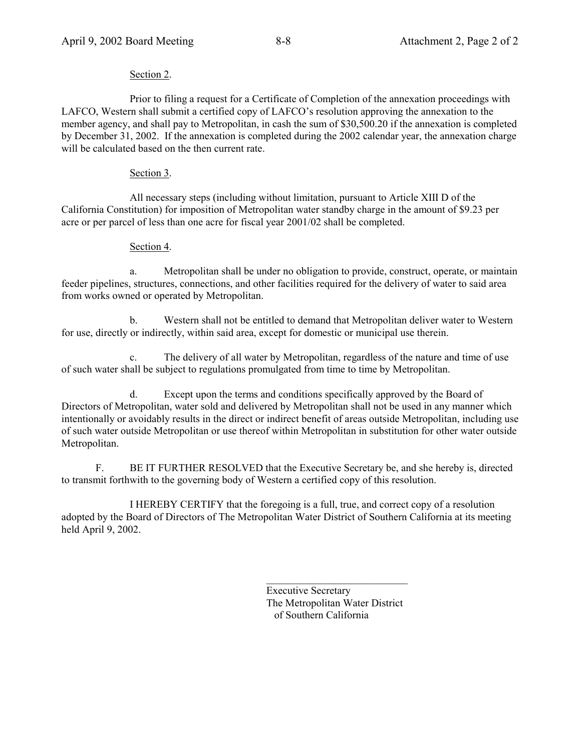## Section 2.

Prior to filing a request for a Certificate of Completion of the annexation proceedings with LAFCO, Western shall submit a certified copy of LAFCO's resolution approving the annexation to the member agency, and shall pay to Metropolitan, in cash the sum of \$30,500.20 if the annexation is completed by December 31, 2002. If the annexation is completed during the 2002 calendar year, the annexation charge will be calculated based on the then current rate.

## Section 3.

All necessary steps (including without limitation, pursuant to Article XIII D of the California Constitution) for imposition of Metropolitan water standby charge in the amount of \$9.23 per acre or per parcel of less than one acre for fiscal year 2001/02 shall be completed.

## Section 4.

a. Metropolitan shall be under no obligation to provide, construct, operate, or maintain feeder pipelines, structures, connections, and other facilities required for the delivery of water to said area from works owned or operated by Metropolitan.

b. Western shall not be entitled to demand that Metropolitan deliver water to Western for use, directly or indirectly, within said area, except for domestic or municipal use therein.

The delivery of all water by Metropolitan, regardless of the nature and time of use of such water shall be subject to regulations promulgated from time to time by Metropolitan.

d. Except upon the terms and conditions specifically approved by the Board of Directors of Metropolitan, water sold and delivered by Metropolitan shall not be used in any manner which intentionally or avoidably results in the direct or indirect benefit of areas outside Metropolitan, including use of such water outside Metropolitan or use thereof within Metropolitan in substitution for other water outside Metropolitan.

F. BE IT FURTHER RESOLVED that the Executive Secretary be, and she hereby is, directed to transmit forthwith to the governing body of Western a certified copy of this resolution.

I HEREBY CERTIFY that the foregoing is a full, true, and correct copy of a resolution adopted by the Board of Directors of The Metropolitan Water District of Southern California at its meeting held April 9, 2002.

> Executive Secretary The Metropolitan Water District of Southern California

 $\frac{1}{2}$  ,  $\frac{1}{2}$  ,  $\frac{1}{2}$  ,  $\frac{1}{2}$  ,  $\frac{1}{2}$  ,  $\frac{1}{2}$  ,  $\frac{1}{2}$  ,  $\frac{1}{2}$  ,  $\frac{1}{2}$  ,  $\frac{1}{2}$  ,  $\frac{1}{2}$  ,  $\frac{1}{2}$  ,  $\frac{1}{2}$  ,  $\frac{1}{2}$  ,  $\frac{1}{2}$  ,  $\frac{1}{2}$  ,  $\frac{1}{2}$  ,  $\frac{1}{2}$  ,  $\frac{1$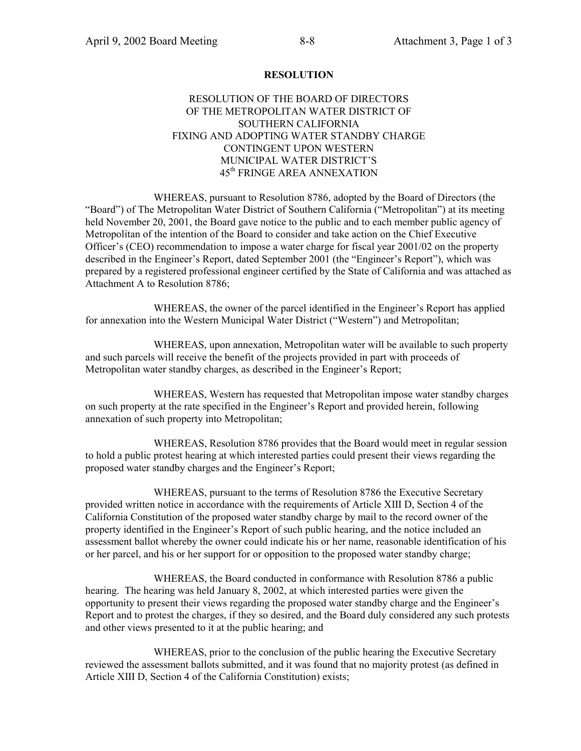### **RESOLUTION**

## RESOLUTION OF THE BOARD OF DIRECTORS OF THE METROPOLITAN WATER DISTRICT OF SOUTHERN CALIFORNIA FIXING AND ADOPTING WATER STANDBY CHARGE CONTINGENT UPON WESTERN MUNICIPAL WATER DISTRICT'S 45th FRINGE AREA ANNEXATION

WHEREAS, pursuant to Resolution 8786, adopted by the Board of Directors (the "Board") of The Metropolitan Water District of Southern California ("Metropolitan") at its meeting held November 20, 2001, the Board gave notice to the public and to each member public agency of Metropolitan of the intention of the Board to consider and take action on the Chief Executive Officerís (CEO) recommendation to impose a water charge for fiscal year 2001/02 on the property described in the Engineer's Report, dated September 2001 (the "Engineer's Report"), which was prepared by a registered professional engineer certified by the State of California and was attached as Attachment A to Resolution 8786;

WHEREAS, the owner of the parcel identified in the Engineer's Report has applied for annexation into the Western Municipal Water District ("Western") and Metropolitan;

WHEREAS, upon annexation, Metropolitan water will be available to such property and such parcels will receive the benefit of the projects provided in part with proceeds of Metropolitan water standby charges, as described in the Engineer's Report;

WHEREAS, Western has requested that Metropolitan impose water standby charges on such property at the rate specified in the Engineer's Report and provided herein, following annexation of such property into Metropolitan;

WHEREAS, Resolution 8786 provides that the Board would meet in regular session to hold a public protest hearing at which interested parties could present their views regarding the proposed water standby charges and the Engineer's Report;

WHEREAS, pursuant to the terms of Resolution 8786 the Executive Secretary provided written notice in accordance with the requirements of Article XIII D, Section 4 of the California Constitution of the proposed water standby charge by mail to the record owner of the property identified in the Engineer's Report of such public hearing, and the notice included an assessment ballot whereby the owner could indicate his or her name, reasonable identification of his or her parcel, and his or her support for or opposition to the proposed water standby charge;

WHEREAS, the Board conducted in conformance with Resolution 8786 a public hearing. The hearing was held January 8, 2002, at which interested parties were given the opportunity to present their views regarding the proposed water standby charge and the Engineerís Report and to protest the charges, if they so desired, and the Board duly considered any such protests and other views presented to it at the public hearing; and

WHEREAS, prior to the conclusion of the public hearing the Executive Secretary reviewed the assessment ballots submitted, and it was found that no majority protest (as defined in Article XIII D, Section 4 of the California Constitution) exists;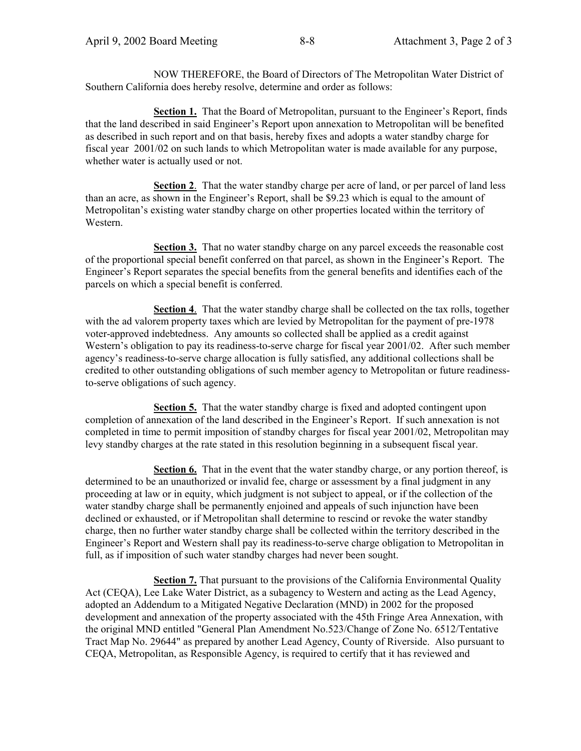NOW THEREFORE, the Board of Directors of The Metropolitan Water District of Southern California does hereby resolve, determine and order as follows:

**Section 1.** That the Board of Metropolitan, pursuant to the Engineer's Report, finds that the land described in said Engineer's Report upon annexation to Metropolitan will be benefited as described in such report and on that basis, hereby fixes and adopts a water standby charge for fiscal year 2001/02 on such lands to which Metropolitan water is made available for any purpose, whether water is actually used or not.

**Section 2**. That the water standby charge per acre of land, or per parcel of land less than an acre, as shown in the Engineer's Report, shall be \$9.23 which is equal to the amount of Metropolitan's existing water standby charge on other properties located within the territory of Western.

**Section 3.** That no water standby charge on any parcel exceeds the reasonable cost of the proportional special benefit conferred on that parcel, as shown in the Engineer's Report. The Engineer's Report separates the special benefits from the general benefits and identifies each of the parcels on which a special benefit is conferred.

**Section 4**. That the water standby charge shall be collected on the tax rolls, together with the ad valorem property taxes which are levied by Metropolitan for the payment of pre-1978 voter-approved indebtedness. Any amounts so collected shall be applied as a credit against Western's obligation to pay its readiness-to-serve charge for fiscal year 2001/02. After such member agencyís readiness-to-serve charge allocation is fully satisfied, any additional collections shall be credited to other outstanding obligations of such member agency to Metropolitan or future readinessto-serve obligations of such agency.

**Section 5.** That the water standby charge is fixed and adopted contingent upon completion of annexation of the land described in the Engineer's Report. If such annexation is not completed in time to permit imposition of standby charges for fiscal year 2001/02, Metropolitan may levy standby charges at the rate stated in this resolution beginning in a subsequent fiscal year.

**Section 6.** That in the event that the water standby charge, or any portion thereof, is determined to be an unauthorized or invalid fee, charge or assessment by a final judgment in any proceeding at law or in equity, which judgment is not subject to appeal, or if the collection of the water standby charge shall be permanently enjoined and appeals of such injunction have been declined or exhausted, or if Metropolitan shall determine to rescind or revoke the water standby charge, then no further water standby charge shall be collected within the territory described in the Engineer's Report and Western shall pay its readiness-to-serve charge obligation to Metropolitan in full, as if imposition of such water standby charges had never been sought.

**Section 7.** That pursuant to the provisions of the California Environmental Quality Act (CEQA), Lee Lake Water District, as a subagency to Western and acting as the Lead Agency, adopted an Addendum to a Mitigated Negative Declaration (MND) in 2002 for the proposed development and annexation of the property associated with the 45th Fringe Area Annexation, with the original MND entitled "General Plan Amendment No.523/Change of Zone No. 6512/Tentative Tract Map No. 29644" as prepared by another Lead Agency, County of Riverside. Also pursuant to CEQA, Metropolitan, as Responsible Agency, is required to certify that it has reviewed and